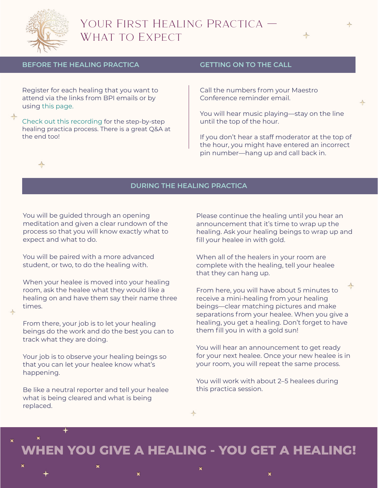

## Your First Healing Practica — WHAT TO EXPECT



## **BEFORE THE HEALING PRACTICA**

Register for each healing that you want to attend via the links from BPI emails or by using [this page.](http://boulderpsychicinstitute.org/updates)

[Check out this recording](https://boulderpsychicinstitute.wetransfer.com/downloads/77054efa8a139b806fcebad74bc1718d20210609200101/b299ab) for the step-by-step healing practica process. There is a great Q&A at the end too!

### **GETTING ON TO THE CALL**

Call the numbers from your Maestro Conference reminder email.

You will hear music playing—stay on the line until the top of the hour.

If you don't hear a staff moderator at the top of the hour, you might have entered an incorrect pin number—hang up and call back in.

 $\rightarrow$ 

## **DURING THE HEALING PRACTICA**

You will be guided through an opening meditation and given a clear rundown of the process so that you will know exactly what to expect and what to do.

You will be paired with a more advanced student, or two, to do the healing with.

When your healee is moved into your healing room, ask the healee what they would like a healing on and have them say their name three times.

From there, your job is to let your healing beings do the work and do the best you can to track what they are doing.

Your job is to observe your healing beings so that you can let your healee know what's happening.

Be like a neutral reporter and tell your healee what is being cleared and what is being replaced.

✦

Please continue the healing until you hear an announcement that it's time to wrap up the healing. Ask your healing beings to wrap up and fill your healee in with gold.

When all of the healers in your room are complete with the healing, tell your healee that they can hang up.

 $\rightarrow$ From here, you will have about 5 minutes to receive a mini-healing from your healing beings—clear matching pictures and make separations from your healee. When you give a healing, you get a healing. Don't forget to have them fill you in with a gold sun!

You will hear an announcement to get ready for your next healee. Once your new healee is in your room, you will repeat the same process.

You will work with about 2–5 healees during this practica session.

╬

# **WHEN YOU GIVE A HEALING - YOU GET A HEALING!**



×



¥